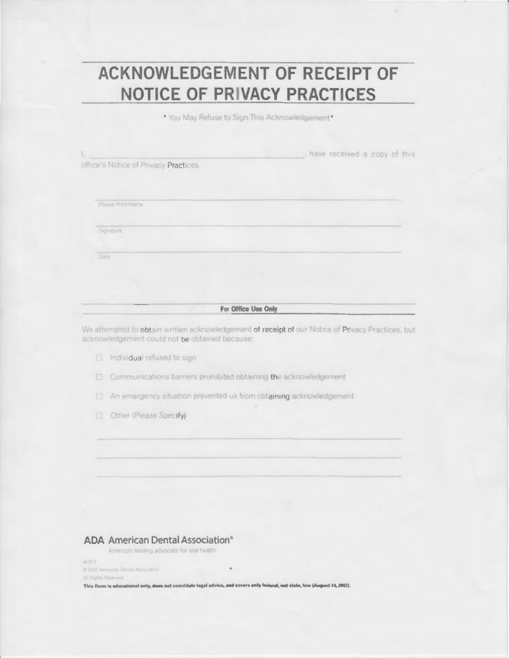## ACKNOWLEDGEMENT OF RECEIPT OF NOTICE OF PRIVACY PRACTICES

\* You May Refuse to Sign This Acknowledgement\*

|               | office's Notice of Privacy Practices.                                                                                                               | , have received a copy of this |
|---------------|-----------------------------------------------------------------------------------------------------------------------------------------------------|--------------------------------|
|               |                                                                                                                                                     |                                |
|               |                                                                                                                                                     |                                |
|               | Ploissa Prent Narrio                                                                                                                                |                                |
| Signature     |                                                                                                                                                     |                                |
| <b>Claire</b> |                                                                                                                                                     |                                |
|               |                                                                                                                                                     |                                |
|               |                                                                                                                                                     |                                |
|               | For Office Use Only                                                                                                                                 |                                |
|               | We attempted to obtain written acknowledgement of receipt of our Notice of Privacy Practices, but<br>acknowledgement could not be obtained because: |                                |
| O             | Individual refused to sign                                                                                                                          |                                |
| Ð             | Communications barriers prohibited obtaining the acknowledgement                                                                                    |                                |
| n             | An emergency situation prevented us from obtaining acknowledgement                                                                                  |                                |
| O             | Other (Please Specify)                                                                                                                              |                                |
|               |                                                                                                                                                     |                                |
|               |                                                                                                                                                     |                                |

### **ADA American Dental Association®**

Amenca's leading advocate for oral health

apro @ Told: American Dental Association All Rights Asserted

This Form is adventional only, does not constitute legal advice, and covers only foderal, not state, taw (August 14, 2002).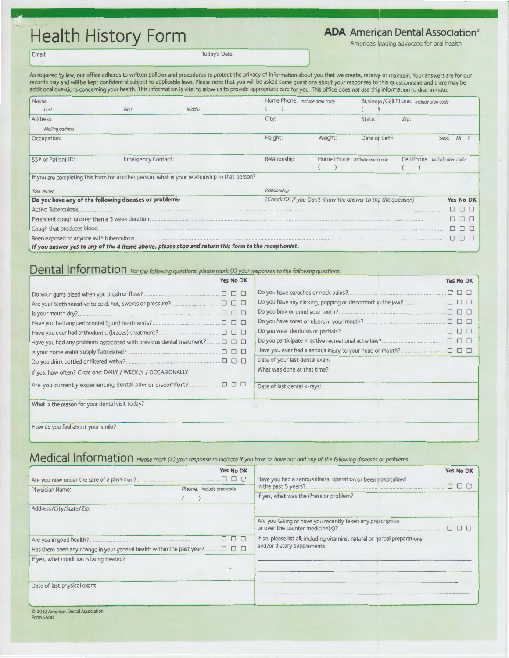# Health History Form **ADA** American Dental Association® **ADA** American Dental Association®

America's leading advocate for oral health

**Email:** Today's Date:

As required by law, our office adheres to written policies and procedures to protect the privacy of information about you that we create, receive or maintain. Your answers are for our records only and will be kept confidential subject to applicable laws. Please note that you will be asked some questions about your responses to this questionnaire and there may be additional questions concerning your health. This information is vital to allow us to provide appropriate care for you. This office does not use this information to discriminate.

| Name:                                                  |                           |                                                                                                      | Home Phone: Include area code |         |                                                             | Business/Cell Phone: Include area code |      |                      |
|--------------------------------------------------------|---------------------------|------------------------------------------------------------------------------------------------------|-------------------------------|---------|-------------------------------------------------------------|----------------------------------------|------|----------------------|
| $L$ ast                                                | First                     | Middle                                                                                               |                               |         |                                                             |                                        |      |                      |
| Address:                                               |                           |                                                                                                      | City:                         |         | State:                                                      | Zip:                                   |      |                      |
| Mailing address                                        |                           |                                                                                                      |                               |         |                                                             |                                        |      |                      |
| Occupation:                                            |                           |                                                                                                      | Height:                       | Weight: | Date of Birth:                                              |                                        | Sex: |                      |
| SS# or Patient ID:                                     | <b>Emergency Contact:</b> |                                                                                                      | Relationship:                 |         | Home Phone: Include area code                               | Cell Phone: Include area code          |      |                      |
|                                                        |                           | If you are completing this form for another person, what is your relationship to that person?        |                               |         |                                                             |                                        |      |                      |
| Your Name                                              |                           |                                                                                                      | Relotionship                  |         |                                                             |                                        |      |                      |
| Do you have any of the following diseases or problems: |                           |                                                                                                      |                               |         | (Check DK if you Don't Know the answer to the the question) |                                        |      | Yes No DK            |
| Active Tuberculosis                                    |                           |                                                                                                      |                               |         |                                                             |                                        |      | $\Box$ $\Box$ $\Box$ |
|                                                        |                           |                                                                                                      |                               |         |                                                             |                                        |      |                      |
|                                                        |                           |                                                                                                      | Cough that produces blood     |         |                                                             |                                        |      | $\Box$ $\Box$        |
|                                                        |                           |                                                                                                      |                               |         |                                                             |                                        |      |                      |
|                                                        |                           | If you answer yes to any of the 4 items above, please stop and return this form to the receptionist. |                               |         |                                                             |                                        |      |                      |

## **Dental Information** For the following questions, please mark (X) your responses to the following questions.

|                                                                                          | Yes No DK | Yes No DK                      |
|------------------------------------------------------------------------------------------|-----------|--------------------------------|
|                                                                                          |           |                                |
|                                                                                          |           |                                |
| Is your mouth dry? $\Box$                                                                |           |                                |
|                                                                                          |           |                                |
|                                                                                          |           |                                |
| Have you had any problems associated with previous dental treatment? $\square$ $\square$ |           |                                |
|                                                                                          |           |                                |
|                                                                                          |           | Date of your last dental exam: |
| If yes, how often? Circle one: DAILY / WEEKLY / OCCASIONALLY                             |           | What was done at that time?    |
|                                                                                          |           | Date of last dental x-rays:    |
| What is the reason for your dental visit today?                                          |           |                                |
| How do you feel about your smile?                                                        |           |                                |

Medical Information **Please mark (X)** your response to indicate if you have or have not hod ony of the following diseases or problems.

|                                                                                            | Yes No DK                | <b>Yes No DK</b>                                                           |  |  |  |  |  |
|--------------------------------------------------------------------------------------------|--------------------------|----------------------------------------------------------------------------|--|--|--|--|--|
|                                                                                            |                          | Have you had a serious illness, operation or been pospitalized             |  |  |  |  |  |
| Physician Name:                                                                            | Phone: Include area code | 000                                                                        |  |  |  |  |  |
|                                                                                            |                          | If yes, what was the illness or problem?                                   |  |  |  |  |  |
| Address/City/State/Zip:                                                                    |                          |                                                                            |  |  |  |  |  |
|                                                                                            |                          | Are you taking or have you recently taken any prescription                 |  |  |  |  |  |
|                                                                                            |                          | If so, please list all, including vitamins, natural or herbal preparations |  |  |  |  |  |
| Has there been any change in your general health within the past year? $\square$ $\square$ |                          | and/or dietary supplements:                                                |  |  |  |  |  |
| If yes, what condition is being treated?                                                   |                          |                                                                            |  |  |  |  |  |
|                                                                                            |                          |                                                                            |  |  |  |  |  |
| Date of last physical exam:                                                                |                          |                                                                            |  |  |  |  |  |
| $m \Delta \Delta \Delta \Delta$                                                            |                          |                                                                            |  |  |  |  |  |